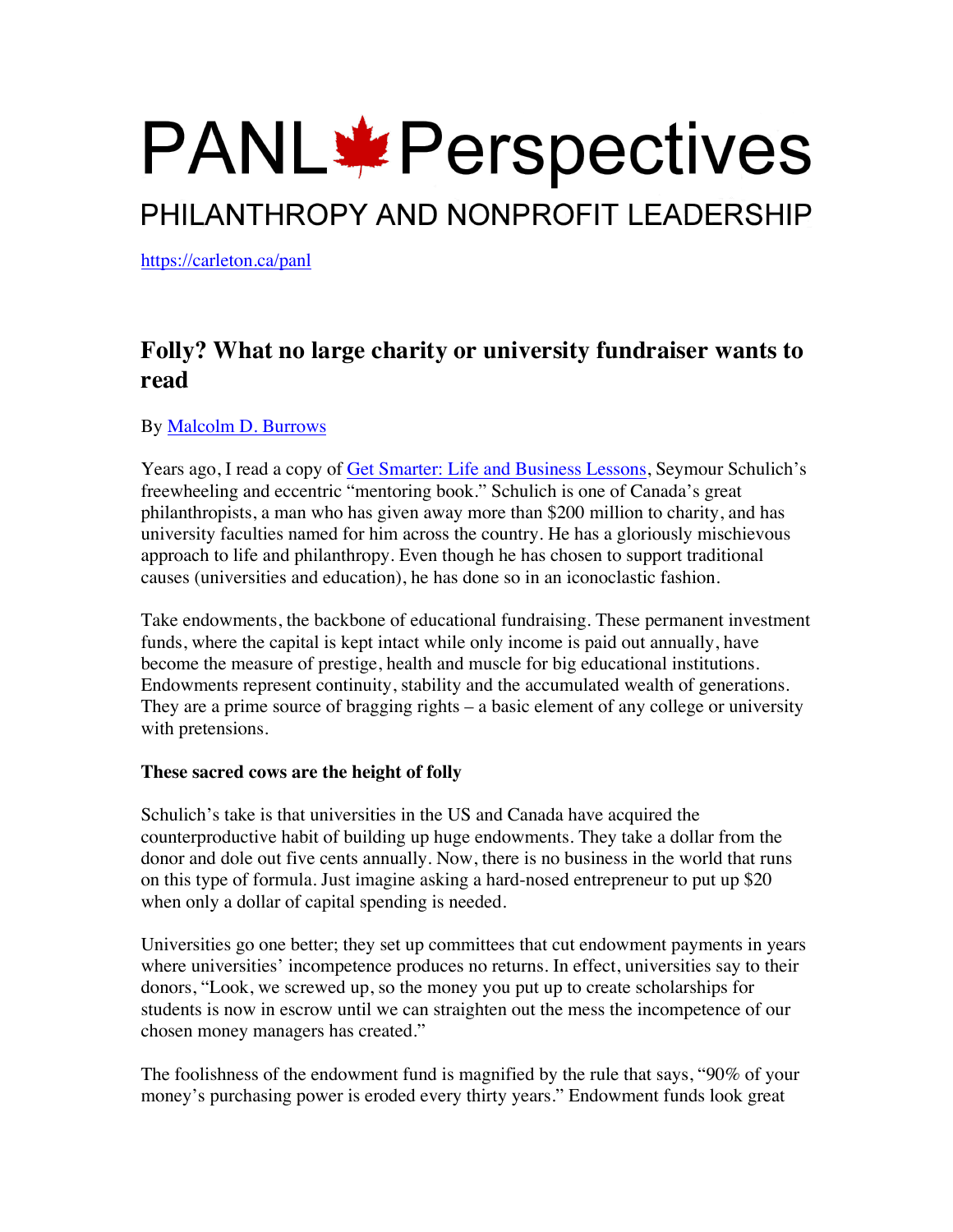# **PANL**\*Perspectives

## PHILANTHROPY AND NONPROFIT LEADERSHIP

https://carleton.ca/panl

### **Folly? What no large charity or university fundraiser wants to read**

#### By Malcolm D. Burrows

Years ago, I read a copy of Get Smarter: Life and Business Lessons, Seymour Schulich's freewheeling and eccentric "mentoring book." Schulich is one of Canada's great philanthropists, a man who has given away more than \$200 million to charity, and has university faculties named for him across the country. He has a gloriously mischievous approach to life and philanthropy. Even though he has chosen to support traditional causes (universities and education), he has done so in an iconoclastic fashion.

Take endowments, the backbone of educational fundraising. These permanent investment funds, where the capital is kept intact while only income is paid out annually, have become the measure of prestige, health and muscle for big educational institutions. Endowments represent continuity, stability and the accumulated wealth of generations. They are a prime source of bragging rights – a basic element of any college or university with pretensions.

#### **These sacred cows are the height of folly**

Schulich's take is that universities in the US and Canada have acquired the counterproductive habit of building up huge endowments. They take a dollar from the donor and dole out five cents annually. Now, there is no business in the world that runs on this type of formula. Just imagine asking a hard-nosed entrepreneur to put up \$20 when only a dollar of capital spending is needed.

Universities go one better; they set up committees that cut endowment payments in years where universities' incompetence produces no returns. In effect, universities say to their donors, "Look, we screwed up, so the money you put up to create scholarships for students is now in escrow until we can straighten out the mess the incompetence of our chosen money managers has created."

The foolishness of the endowment fund is magnified by the rule that says, "90% of your money's purchasing power is eroded every thirty years." Endowment funds look great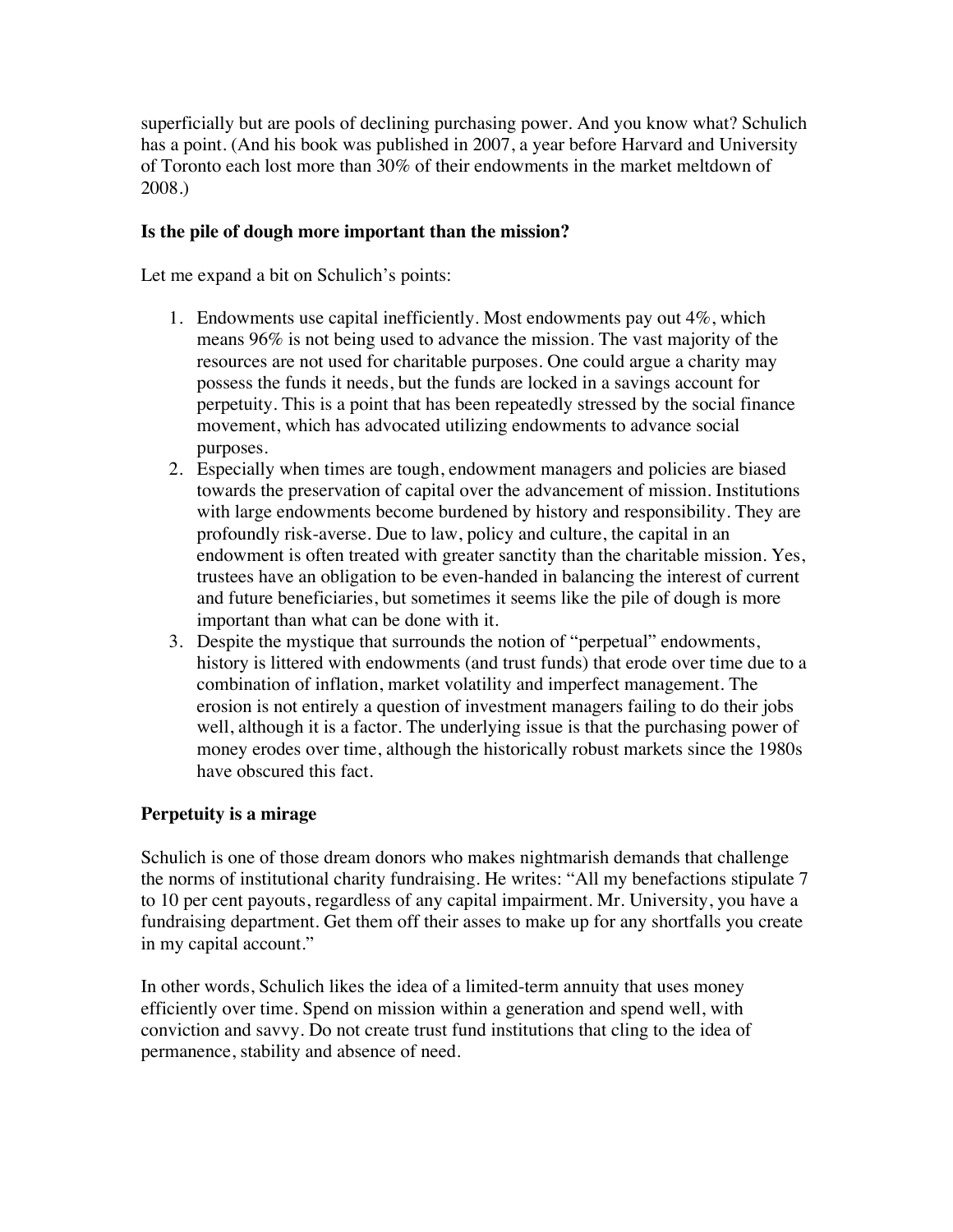superficially but are pools of declining purchasing power. And you know what? Schulich has a point. (And his book was published in 2007, a year before Harvard and University of Toronto each lost more than 30% of their endowments in the market meltdown of 2008.)

#### **Is the pile of dough more important than the mission?**

Let me expand a bit on Schulich's points:

- 1. Endowments use capital inefficiently. Most endowments pay out 4%, which means 96% is not being used to advance the mission. The vast majority of the resources are not used for charitable purposes. One could argue a charity may possess the funds it needs, but the funds are locked in a savings account for perpetuity. This is a point that has been repeatedly stressed by the social finance movement, which has advocated utilizing endowments to advance social purposes.
- 2. Especially when times are tough, endowment managers and policies are biased towards the preservation of capital over the advancement of mission. Institutions with large endowments become burdened by history and responsibility. They are profoundly risk-averse. Due to law, policy and culture, the capital in an endowment is often treated with greater sanctity than the charitable mission. Yes, trustees have an obligation to be even-handed in balancing the interest of current and future beneficiaries, but sometimes it seems like the pile of dough is more important than what can be done with it.
- 3. Despite the mystique that surrounds the notion of "perpetual" endowments, history is littered with endowments (and trust funds) that erode over time due to a combination of inflation, market volatility and imperfect management. The erosion is not entirely a question of investment managers failing to do their jobs well, although it is a factor. The underlying issue is that the purchasing power of money erodes over time, although the historically robust markets since the 1980s have obscured this fact.

#### **Perpetuity is a mirage**

Schulich is one of those dream donors who makes nightmarish demands that challenge the norms of institutional charity fundraising. He writes: "All my benefactions stipulate 7 to 10 per cent payouts, regardless of any capital impairment. Mr. University, you have a fundraising department. Get them off their asses to make up for any shortfalls you create in my capital account."

In other words, Schulich likes the idea of a limited-term annuity that uses money efficiently over time. Spend on mission within a generation and spend well, with conviction and savvy. Do not create trust fund institutions that cling to the idea of permanence, stability and absence of need.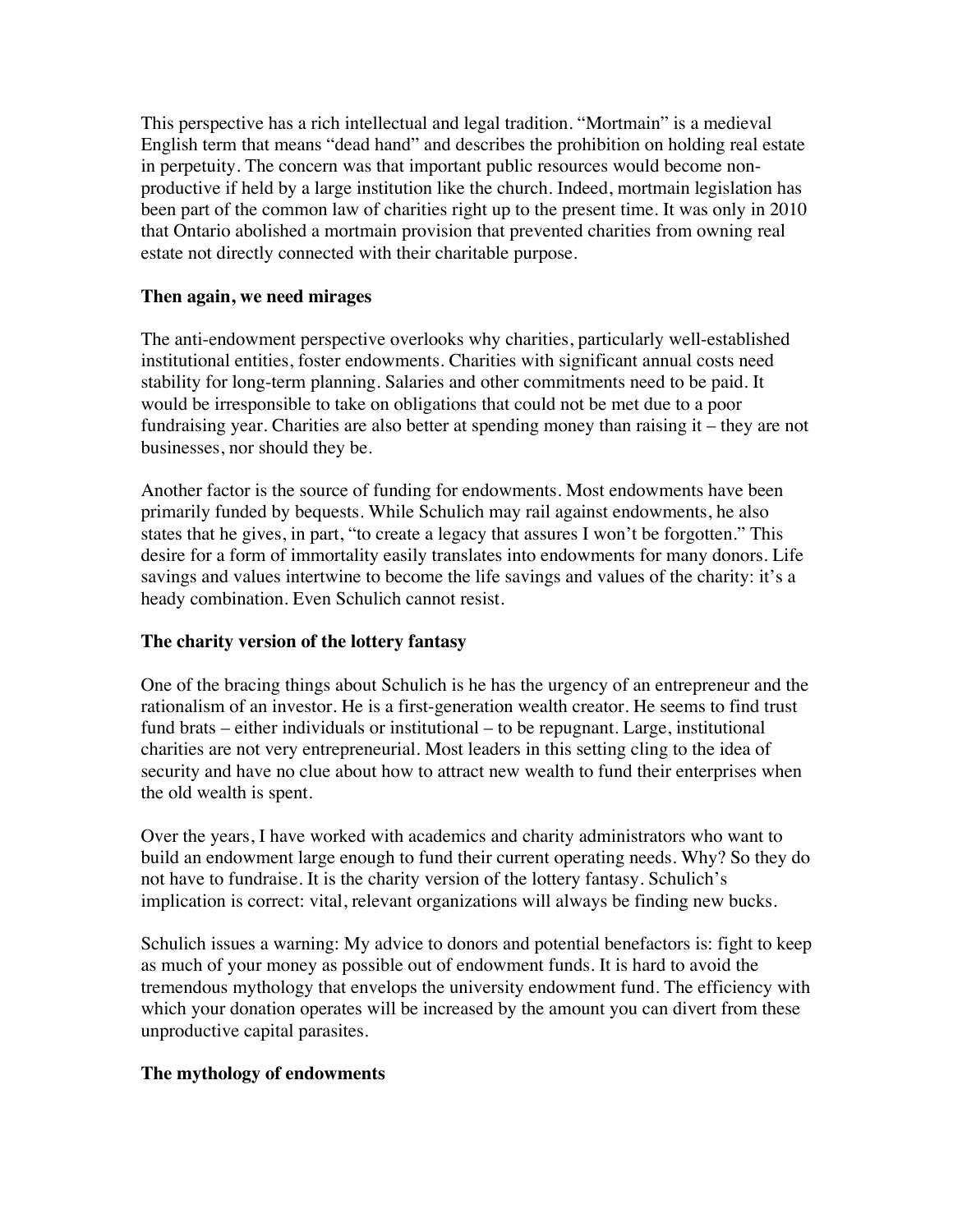This perspective has a rich intellectual and legal tradition. "Mortmain" is a medieval English term that means "dead hand" and describes the prohibition on holding real estate in perpetuity. The concern was that important public resources would become nonproductive if held by a large institution like the church. Indeed, mortmain legislation has been part of the common law of charities right up to the present time. It was only in 2010 that Ontario abolished a mortmain provision that prevented charities from owning real estate not directly connected with their charitable purpose.

#### **Then again, we need mirages**

The anti-endowment perspective overlooks why charities, particularly well-established institutional entities, foster endowments. Charities with significant annual costs need stability for long-term planning. Salaries and other commitments need to be paid. It would be irresponsible to take on obligations that could not be met due to a poor fundraising year. Charities are also better at spending money than raising it – they are not businesses, nor should they be.

Another factor is the source of funding for endowments. Most endowments have been primarily funded by bequests. While Schulich may rail against endowments, he also states that he gives, in part, "to create a legacy that assures I won't be forgotten." This desire for a form of immortality easily translates into endowments for many donors. Life savings and values intertwine to become the life savings and values of the charity: it's a heady combination. Even Schulich cannot resist.

#### **The charity version of the lottery fantasy**

One of the bracing things about Schulich is he has the urgency of an entrepreneur and the rationalism of an investor. He is a first-generation wealth creator. He seems to find trust fund brats – either individuals or institutional – to be repugnant. Large, institutional charities are not very entrepreneurial. Most leaders in this setting cling to the idea of security and have no clue about how to attract new wealth to fund their enterprises when the old wealth is spent.

Over the years, I have worked with academics and charity administrators who want to build an endowment large enough to fund their current operating needs. Why? So they do not have to fundraise. It is the charity version of the lottery fantasy. Schulich's implication is correct: vital, relevant organizations will always be finding new bucks.

Schulich issues a warning: My advice to donors and potential benefactors is: fight to keep as much of your money as possible out of endowment funds. It is hard to avoid the tremendous mythology that envelops the university endowment fund. The efficiency with which your donation operates will be increased by the amount you can divert from these unproductive capital parasites.

#### **The mythology of endowments**